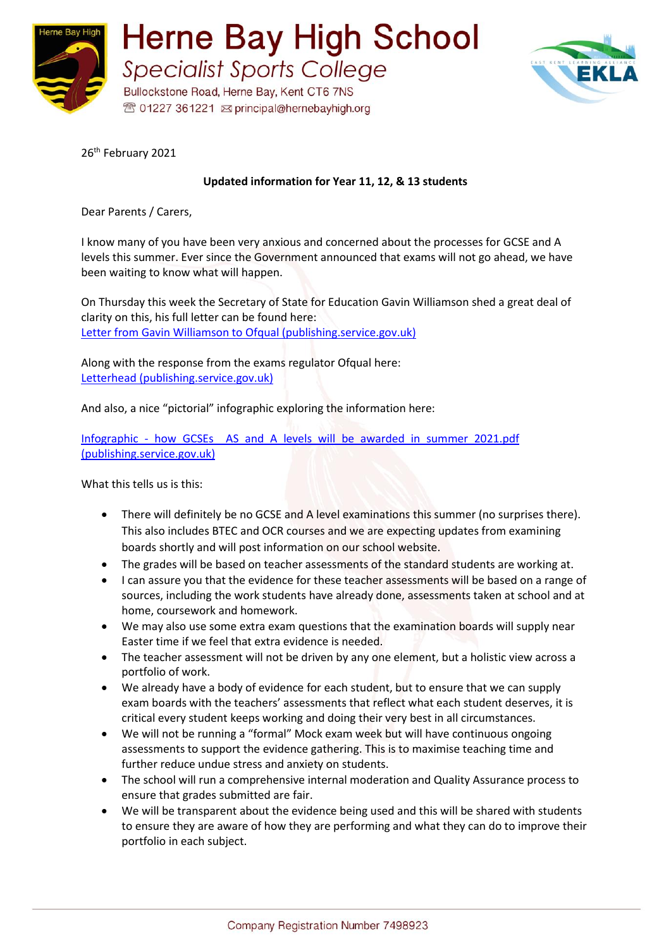



26<sup>th</sup> February 2021

## **Updated information for Year 11, 12, & 13 students**

Dear Parents / Carers,

I know many of you have been very anxious and concerned about the processes for GCSE and A levels this summer. Ever since the Government announced that exams will not go ahead, we have been waiting to know what will happen.

On Thursday this week the Secretary of State for Education Gavin Williamson shed a great deal of clarity on this, his full letter can be found here: [Letter from Gavin Williamson to Ofqual \(publishing.service.gov.uk\)](https://assets.publishing.service.gov.uk/government/uploads/system/uploads/attachment_data/file/964583/Letter_from_Gavin_Williamson_to_Ofqual.pdf)

Along with the response from the exams regulator Ofqual here: [Letterhead \(publishing.service.gov.uk\)](https://assets.publishing.service.gov.uk/government/uploads/system/uploads/attachment_data/file/964608/2020-02-24_Ofqual_response_to_direction_under_s129_6__of_ASCLA.pdf)

And also, a nice "pictorial" infographic exploring the information here:

Infographic - how GCSEs AS and A levels will be awarded in summer 2021.pdf [\(publishing.service.gov.uk\)](https://assets.publishing.service.gov.uk/government/uploads/system/uploads/attachment_data/file/964613/Infographic_-_how_GCSEs__AS_and_A_levels_will_be_awarded_in_summer_2021.pdf)

What this tells us is this:

- There will definitely be no GCSE and A level examinations this summer (no surprises there). This also includes BTEC and OCR courses and we are expecting updates from examining boards shortly and will post information on our school website.
- The grades will be based on teacher assessments of the standard students are working at.
- I can assure you that the evidence for these teacher assessments will be based on a range of sources, including the work students have already done, assessments taken at school and at home, coursework and homework.
- We may also use some extra exam questions that the examination boards will supply near Easter time if we feel that extra evidence is needed.
- The teacher assessment will not be driven by any one element, but a holistic view across a portfolio of work.
- We already have a body of evidence for each student, but to ensure that we can supply exam boards with the teachers' assessments that reflect what each student deserves, it is critical every student keeps working and doing their very best in all circumstances.
- We will not be running a "formal" Mock exam week but will have continuous ongoing assessments to support the evidence gathering. This is to maximise teaching time and further reduce undue stress and anxiety on students.
- The school will run a comprehensive internal moderation and Quality Assurance process to ensure that grades submitted are fair.
- We will be transparent about the evidence being used and this will be shared with students to ensure they are aware of how they are performing and what they can do to improve their portfolio in each subject.